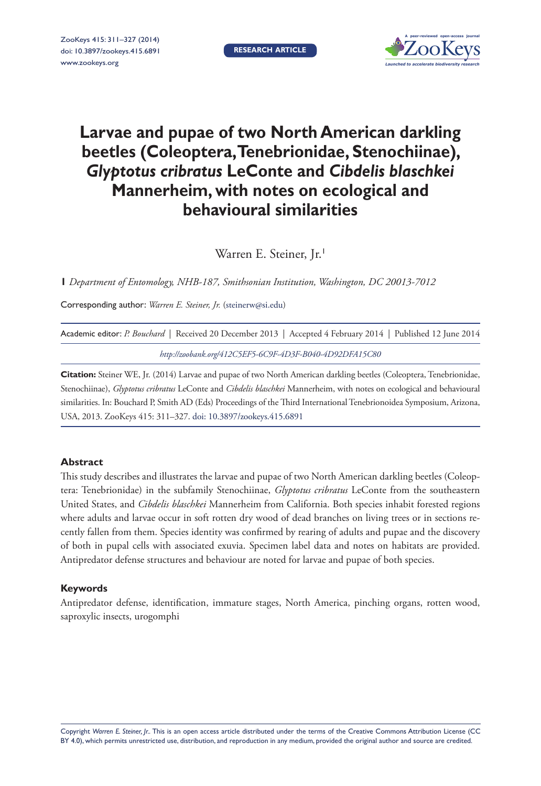**RESEARCH ARTICLE**



# **Larvae and pupae of two North American darkling beetles (Coleoptera, Tenebrionidae, Stenochiinae),**  *Glyptotus cribratus* **LeConte and** *Cibdelis blaschkei*  **Mannerheim, with notes on ecological and behavioural similarities**

Warren E. Steiner, Jr.<sup>1</sup>

**1** *Department of Entomology, NHB-187, Smithsonian Institution, Washington, DC 20013-7012*

Corresponding author: *Warren E. Steiner, Jr.* [\(steinerw@si.edu\)](mailto:steinerw@si.edu)

| Academic editor: P. Bouchard   Received 20 December 2013   Accepted 4 February 2014   Published 12 June 2014 |  |
|--------------------------------------------------------------------------------------------------------------|--|
| http://zoobank.org/412C5EF5-6C9F-4D3F-B040-4D92DFA15C80                                                      |  |

**Citation:** Steiner WE, Jr. (2014) Larvae and pupae of two North American darkling beetles (Coleoptera, Tenebrionidae, Stenochiinae), *Glyptotus cribratus* LeConte and *Cibdelis blaschkei* Mannerheim, with notes on ecological and behavioural similarities. In: Bouchard P, Smith AD (Eds) Proceedings of the Third International Tenebrionoidea Symposium, Arizona, USA, 2013. ZooKeys 415: 311–327. doi: 10.3897/zookeys.415.6891

#### **Abstract**

This study describes and illustrates the larvae and pupae of two North American darkling beetles (Coleoptera: Tenebrionidae) in the subfamily Stenochiinae, *Glyptotus cribratus* LeConte from the southeastern United States, and *Cibdelis blaschkei* Mannerheim from California. Both species inhabit forested regions where adults and larvae occur in soft rotten dry wood of dead branches on living trees or in sections recently fallen from them. Species identity was confirmed by rearing of adults and pupae and the discovery of both in pupal cells with associated exuvia. Specimen label data and notes on habitats are provided. Antipredator defense structures and behaviour are noted for larvae and pupae of both species.

#### **Keywords**

Antipredator defense, identification, immature stages, North America, pinching organs, rotten wood, saproxylic insects, urogomphi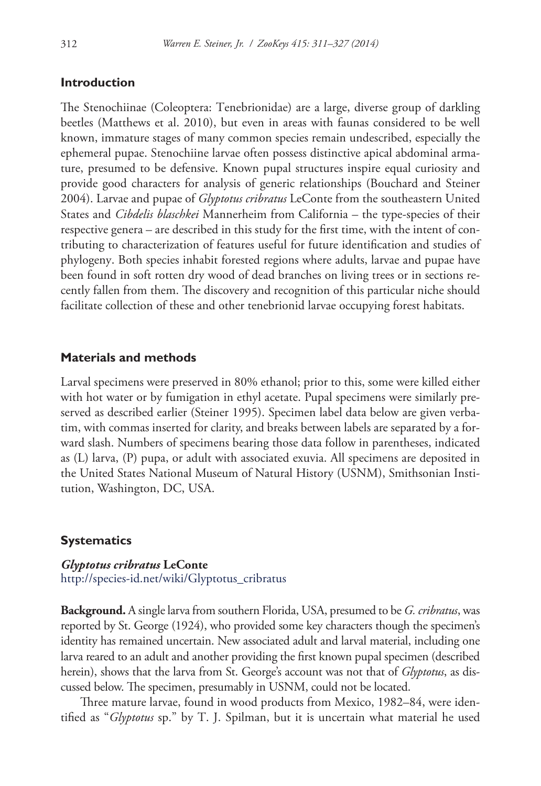## **Introduction**

The Stenochiinae (Coleoptera: Tenebrionidae) are a large, diverse group of darkling beetles (Matthews et al. 2010), but even in areas with faunas considered to be well known, immature stages of many common species remain undescribed, especially the ephemeral pupae. Stenochiine larvae often possess distinctive apical abdominal armature, presumed to be defensive. Known pupal structures inspire equal curiosity and provide good characters for analysis of generic relationships (Bouchard and Steiner 2004). Larvae and pupae of *Glyptotus cribratus* LeConte from the southeastern United States and *Cibdelis blaschkei* Mannerheim from California – the type-species of their respective genera – are described in this study for the first time, with the intent of contributing to characterization of features useful for future identification and studies of phylogeny. Both species inhabit forested regions where adults, larvae and pupae have been found in soft rotten dry wood of dead branches on living trees or in sections recently fallen from them. The discovery and recognition of this particular niche should facilitate collection of these and other tenebrionid larvae occupying forest habitats.

# **Materials and methods**

Larval specimens were preserved in 80% ethanol; prior to this, some were killed either with hot water or by fumigation in ethyl acetate. Pupal specimens were similarly preserved as described earlier (Steiner 1995). Specimen label data below are given verbatim, with commas inserted for clarity, and breaks between labels are separated by a forward slash. Numbers of specimens bearing those data follow in parentheses, indicated as (L) larva, (P) pupa, or adult with associated exuvia. All specimens are deposited in the United States National Museum of Natural History (USNM), Smithsonian Institution, Washington, DC, USA.

# **Systematics**

# *Glyptotus cribratus* **LeConte** [http://species-id.net/wiki/Glyptotus\\_cribratus](http://species-id.net/wiki/Glyptotus_cribratus)

**Background.** A single larva from southern Florida, USA, presumed to be *G. cribratus*, was reported by St. George (1924), who provided some key characters though the specimen's identity has remained uncertain. New associated adult and larval material, including one larva reared to an adult and another providing the first known pupal specimen (described herein), shows that the larva from St. George's account was not that of *Glyptotus*, as discussed below. The specimen, presumably in USNM, could not be located.

Three mature larvae, found in wood products from Mexico, 1982–84, were identified as "*Glyptotus* sp." by T. J. Spilman, but it is uncertain what material he used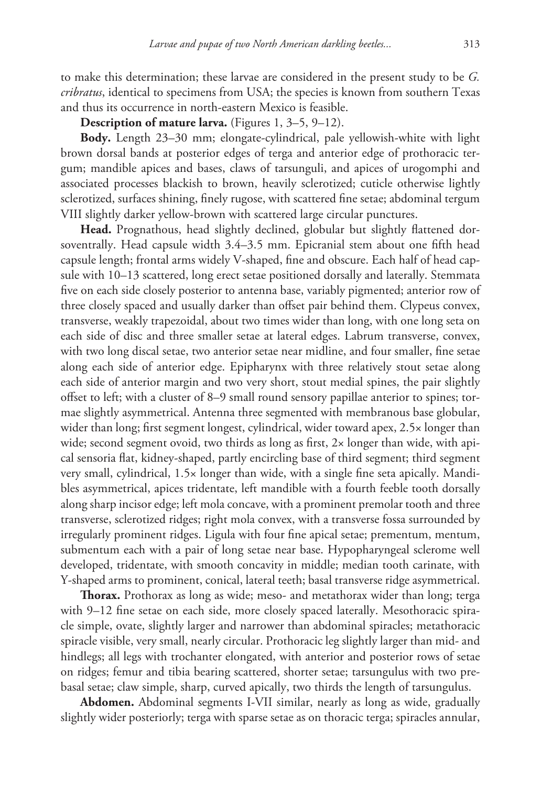to make this determination; these larvae are considered in the present study to be *G. cribratus*, identical to specimens from USA; the species is known from southern Texas and thus its occurrence in north-eastern Mexico is feasible.

**Description of mature larva.** (Figures 1, 3–5, 9–12).

**Body.** Length 23–30 mm; elongate-cylindrical, pale yellowish-white with light brown dorsal bands at posterior edges of terga and anterior edge of prothoracic tergum; mandible apices and bases, claws of tarsunguli, and apices of urogomphi and associated processes blackish to brown, heavily sclerotized; cuticle otherwise lightly sclerotized, surfaces shining, finely rugose, with scattered fine setae; abdominal tergum VIII slightly darker yellow-brown with scattered large circular punctures.

**Head.** Prognathous, head slightly declined, globular but slightly flattened dorsoventrally. Head capsule width 3.4–3.5 mm. Epicranial stem about one fifth head capsule length; frontal arms widely V-shaped, fine and obscure. Each half of head capsule with 10–13 scattered, long erect setae positioned dorsally and laterally. Stemmata five on each side closely posterior to antenna base, variably pigmented; anterior row of three closely spaced and usually darker than offset pair behind them. Clypeus convex, transverse, weakly trapezoidal, about two times wider than long, with one long seta on each side of disc and three smaller setae at lateral edges. Labrum transverse, convex, with two long discal setae, two anterior setae near midline, and four smaller, fine setae along each side of anterior edge. Epipharynx with three relatively stout setae along each side of anterior margin and two very short, stout medial spines, the pair slightly offset to left; with a cluster of 8–9 small round sensory papillae anterior to spines; tormae slightly asymmetrical. Antenna three segmented with membranous base globular, wider than long; first segment longest, cylindrical, wider toward apex, 2.5× longer than wide; second segment ovoid, two thirds as long as first, 2x longer than wide, with apical sensoria flat, kidney-shaped, partly encircling base of third segment; third segment very small, cylindrical, 1.5× longer than wide, with a single fine seta apically. Mandibles asymmetrical, apices tridentate, left mandible with a fourth feeble tooth dorsally along sharp incisor edge; left mola concave, with a prominent premolar tooth and three transverse, sclerotized ridges; right mola convex, with a transverse fossa surrounded by irregularly prominent ridges. Ligula with four fine apical setae; prementum, mentum, submentum each with a pair of long setae near base. Hypopharyngeal sclerome well developed, tridentate, with smooth concavity in middle; median tooth carinate, with Y-shaped arms to prominent, conical, lateral teeth; basal transverse ridge asymmetrical.

**Thorax.** Prothorax as long as wide; meso- and metathorax wider than long; terga with 9–12 fine setae on each side, more closely spaced laterally. Mesothoracic spiracle simple, ovate, slightly larger and narrower than abdominal spiracles; metathoracic spiracle visible, very small, nearly circular. Prothoracic leg slightly larger than mid- and hindlegs; all legs with trochanter elongated, with anterior and posterior rows of setae on ridges; femur and tibia bearing scattered, shorter setae; tarsungulus with two prebasal setae; claw simple, sharp, curved apically, two thirds the length of tarsungulus.

**Abdomen.** Abdominal segments I-VII similar, nearly as long as wide, gradually slightly wider posteriorly; terga with sparse setae as on thoracic terga; spiracles annular,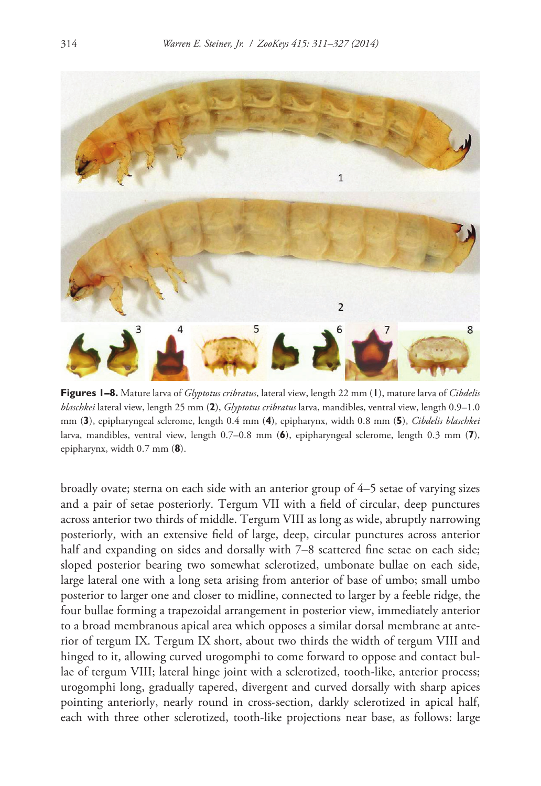

**Figures 1–8.** Mature larva of *Glyptotus cribratus*, lateral view, length 22 mm (**1**), mature larva of *Cibdelis blaschkei* lateral view, length 25 mm (**2**), *Glyptotus cribratus* larva, mandibles, ventral view, length 0.9–1.0 mm (**3**), epipharyngeal sclerome, length 0.4 mm (**4**), epipharynx, width 0.8 mm (**5**), *Cibdelis blaschkei* larva, mandibles, ventral view, length 0.7–0.8 mm (**6**), epipharyngeal sclerome, length 0.3 mm (**7**), epipharynx, width 0.7 mm (**8**).

broadly ovate; sterna on each side with an anterior group of 4–5 setae of varying sizes and a pair of setae posteriorly. Tergum VII with a field of circular, deep punctures across anterior two thirds of middle. Tergum VIII as long as wide, abruptly narrowing posteriorly, with an extensive field of large, deep, circular punctures across anterior half and expanding on sides and dorsally with 7–8 scattered fine setae on each side; sloped posterior bearing two somewhat sclerotized, umbonate bullae on each side, large lateral one with a long seta arising from anterior of base of umbo; small umbo posterior to larger one and closer to midline, connected to larger by a feeble ridge, the four bullae forming a trapezoidal arrangement in posterior view, immediately anterior to a broad membranous apical area which opposes a similar dorsal membrane at anterior of tergum IX. Tergum IX short, about two thirds the width of tergum VIII and hinged to it, allowing curved urogomphi to come forward to oppose and contact bullae of tergum VIII; lateral hinge joint with a sclerotized, tooth-like, anterior process; urogomphi long, gradually tapered, divergent and curved dorsally with sharp apices pointing anteriorly, nearly round in cross-section, darkly sclerotized in apical half, each with three other sclerotized, tooth-like projections near base, as follows: large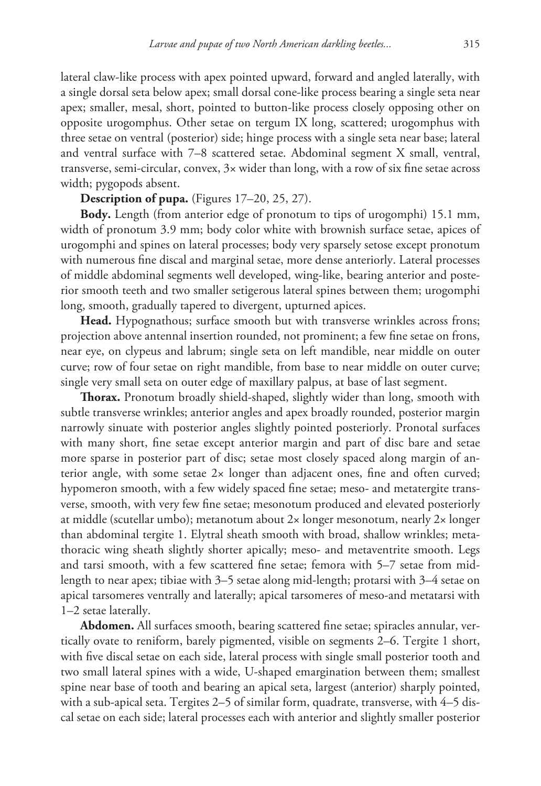lateral claw-like process with apex pointed upward, forward and angled laterally, with a single dorsal seta below apex; small dorsal cone-like process bearing a single seta near apex; smaller, mesal, short, pointed to button-like process closely opposing other on opposite urogomphus. Other setae on tergum IX long, scattered; urogomphus with three setae on ventral (posterior) side; hinge process with a single seta near base; lateral and ventral surface with 7–8 scattered setae. Abdominal segment X small, ventral, transverse, semi-circular, convex, 3× wider than long, with a row of six fine setae across width; pygopods absent.

## **Description of pupa.** (Figures 17–20, 25, 27).

**Body.** Length (from anterior edge of pronotum to tips of urogomphi) 15.1 mm, width of pronotum 3.9 mm; body color white with brownish surface setae, apices of urogomphi and spines on lateral processes; body very sparsely setose except pronotum with numerous fine discal and marginal setae, more dense anteriorly. Lateral processes of middle abdominal segments well developed, wing-like, bearing anterior and posterior smooth teeth and two smaller setigerous lateral spines between them; urogomphi long, smooth, gradually tapered to divergent, upturned apices.

**Head.** Hypognathous; surface smooth but with transverse wrinkles across frons; projection above antennal insertion rounded, not prominent; a few fine setae on frons, near eye, on clypeus and labrum; single seta on left mandible, near middle on outer curve; row of four setae on right mandible, from base to near middle on outer curve; single very small seta on outer edge of maxillary palpus, at base of last segment.

**Thorax.** Pronotum broadly shield-shaped, slightly wider than long, smooth with subtle transverse wrinkles; anterior angles and apex broadly rounded, posterior margin narrowly sinuate with posterior angles slightly pointed posteriorly. Pronotal surfaces with many short, fine setae except anterior margin and part of disc bare and setae more sparse in posterior part of disc; setae most closely spaced along margin of anterior angle, with some setae 2× longer than adjacent ones, fine and often curved; hypomeron smooth, with a few widely spaced fine setae; meso- and metatergite transverse, smooth, with very few fine setae; mesonotum produced and elevated posteriorly at middle (scutellar umbo); metanotum about 2× longer mesonotum, nearly 2× longer than abdominal tergite 1. Elytral sheath smooth with broad, shallow wrinkles; metathoracic wing sheath slightly shorter apically; meso- and metaventrite smooth. Legs and tarsi smooth, with a few scattered fine setae; femora with 5–7 setae from midlength to near apex; tibiae with 3–5 setae along mid-length; protarsi with 3–4 setae on apical tarsomeres ventrally and laterally; apical tarsomeres of meso-and metatarsi with 1–2 setae laterally.

**Abdomen.** All surfaces smooth, bearing scattered fine setae; spiracles annular, vertically ovate to reniform, barely pigmented, visible on segments 2–6. Tergite 1 short, with five discal setae on each side, lateral process with single small posterior tooth and two small lateral spines with a wide, U-shaped emargination between them; smallest spine near base of tooth and bearing an apical seta, largest (anterior) sharply pointed, with a sub-apical seta. Tergites 2–5 of similar form, quadrate, transverse, with 4–5 discal setae on each side; lateral processes each with anterior and slightly smaller posterior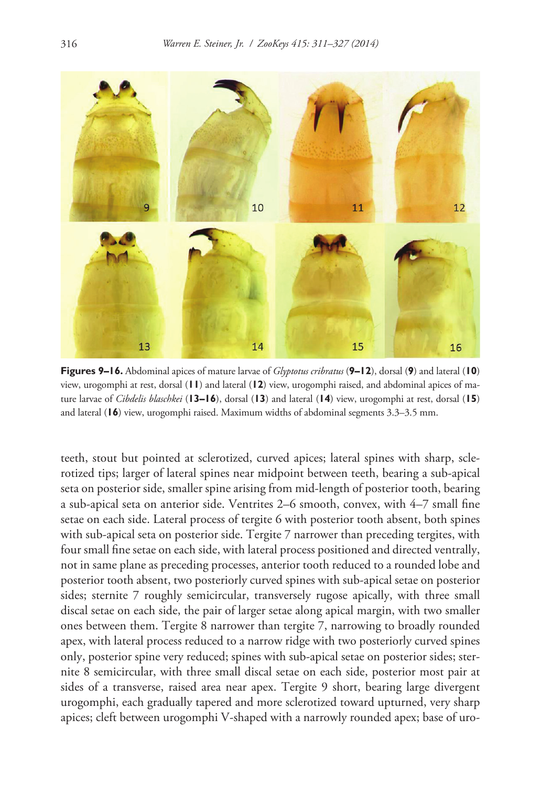

**Figures 9–16.** Abdominal apices of mature larvae of *Glyptotus cribratus* (**9–12**), dorsal (**9**) and lateral (**10**) view, urogomphi at rest, dorsal (**11**) and lateral (**12**) view, urogomphi raised, and abdominal apices of mature larvae of *Cibdelis blaschkei* (**13–16**), dorsal (**13**) and lateral (**14**) view, urogomphi at rest, dorsal (**15**) and lateral (**16**) view, urogomphi raised. Maximum widths of abdominal segments 3.3–3.5 mm.

teeth, stout but pointed at sclerotized, curved apices; lateral spines with sharp, sclerotized tips; larger of lateral spines near midpoint between teeth, bearing a sub-apical seta on posterior side, smaller spine arising from mid-length of posterior tooth, bearing a sub-apical seta on anterior side. Ventrites 2–6 smooth, convex, with 4–7 small fine setae on each side. Lateral process of tergite 6 with posterior tooth absent, both spines with sub-apical seta on posterior side. Tergite 7 narrower than preceding tergites, with four small fine setae on each side, with lateral process positioned and directed ventrally, not in same plane as preceding processes, anterior tooth reduced to a rounded lobe and posterior tooth absent, two posteriorly curved spines with sub-apical setae on posterior sides; sternite 7 roughly semicircular, transversely rugose apically, with three small discal setae on each side, the pair of larger setae along apical margin, with two smaller ones between them. Tergite 8 narrower than tergite 7, narrowing to broadly rounded apex, with lateral process reduced to a narrow ridge with two posteriorly curved spines only, posterior spine very reduced; spines with sub-apical setae on posterior sides; sternite 8 semicircular, with three small discal setae on each side, posterior most pair at sides of a transverse, raised area near apex. Tergite 9 short, bearing large divergent urogomphi, each gradually tapered and more sclerotized toward upturned, very sharp apices; cleft between urogomphi V-shaped with a narrowly rounded apex; base of uro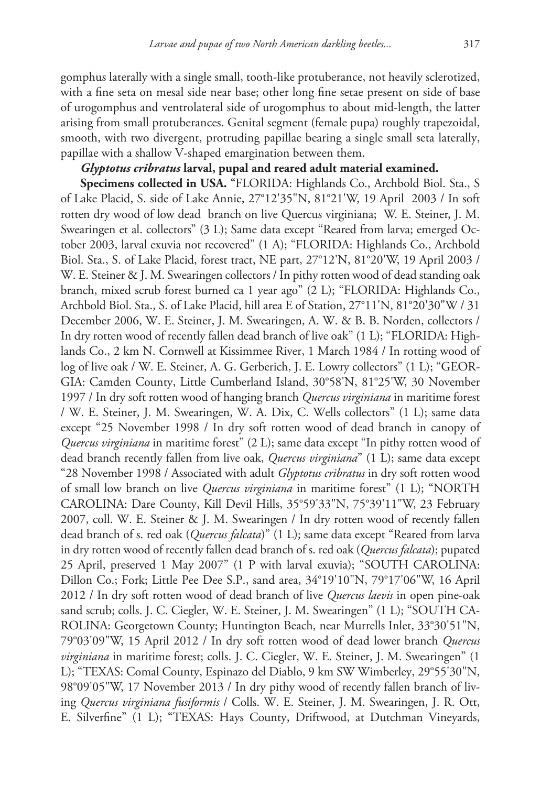gomphus laterally with a single small, tooth-like protuberance, not heavily sclerotized, with a fine seta on mesal side near base; other long fine setae present on side of base of urogomphus and ventrolateral side of urogomphus to about mid-length, the latter arising from small protuberances. Genital segment (female pupa) roughly trapezoidal, smooth, with two divergent, protruding papillae bearing a single small seta laterally, papillae with a shallow V-shaped emargination between them.

#### *Glyptotus cribratus* **larval, pupal and reared adult material examined.**

**Specimens collected in USA.** "FLORIDA: Highlands Co., Archbold Biol. Sta., S of Lake Placid, S. side of Lake Annie, 27°12'35"N, 81°21'W, 19 April 2003 / In soft rotten dry wood of low dead branch on live Quercus virginiana; W. E. Steiner, J. M. Swearingen et al. collectors" (3 L); Same data except "Reared from larva; emerged October 2003, larval exuvia not recovered" (1 A); "FLORIDA: Highlands Co., Archbold Biol. Sta., S. of Lake Placid, forest tract, NE part, 27°12'N, 81°20'W, 19 April 2003 / W. E. Steiner & J. M. Swearingen collectors / In pithy rotten wood of dead standing oak branch, mixed scrub forest burned ca 1 year ago" (2 L); "FLORIDA: Highlands Co., Archbold Biol. Sta., S. of Lake Placid, hill area E of Station, 27°11'N, 81°20'30"W / 31 December 2006, W. E. Steiner, J. M. Swearingen, A. W. & B. B. Norden, collectors / In dry rotten wood of recently fallen dead branch of live oak" (1 L); "FLORIDA: Highlands Co., 2 km N. Cornwell at Kissimmee River, 1 March 1984 / In rotting wood of log of live oak / W. E. Steiner, A. G. Gerberich, J. E. Lowry collectors" (1 L); "GEOR-GIA: Camden County, Little Cumberland Island, 30°58'N, 81°25'W, 30 November 1997 / In dry soft rotten wood of hanging branch *Quercus virginiana* in maritime forest / W. E. Steiner, J. M. Swearingen, W. A. Dix, C. Wells collectors" (1 L); same data except "25 November 1998 / In dry soft rotten wood of dead branch in canopy of *Quercus virginiana* in maritime forest" (2 L); same data except "In pithy rotten wood of dead branch recently fallen from live oak, *Quercus virginiana*" (1 L); same data except "28 November 1998 / Associated with adult *Glyptotus cribratus* in dry soft rotten wood of small low branch on live *Quercus virginiana* in maritime forest" (1 L); "NORTH CAROLINA: Dare County, Kill Devil Hills, 35°59'33"N, 75°39'11"W, 23 February 2007, coll. W. E. Steiner & J. M. Swearingen / In dry rotten wood of recently fallen dead branch of s. red oak (*Quercus falcata*)" (1 L); same data except "Reared from larva in dry rotten wood of recently fallen dead branch of s. red oak (*Quercus falcata*); pupated 25 April, preserved 1 May 2007" (1 P with larval exuvia); "SOUTH CAROLINA: Dillon Co.; Fork; Little Pee Dee S.P., sand area, 34°19'10"N, 79°17'06"W, 16 April 2012 / In dry soft rotten wood of dead branch of live *Quercus laevis* in open pine-oak sand scrub; colls. J. C. Ciegler, W. E. Steiner, J. M. Swearingen" (1 L); "SOUTH CA-ROLINA: Georgetown County; Huntington Beach, near Murrells Inlet, 33°30'51"N, 79°03'09"W, 15 April 2012 / In dry soft rotten wood of dead lower branch *Quercus virginiana* in maritime forest; colls. J. C. Ciegler, W. E. Steiner, J. M. Swearingen" (1 L); "TEXAS: Comal County, Espinazo del Diablo, 9 km SW Wimberley, 29°55'30"N, 98°09'05"W, 17 November 2013 / In dry pithy wood of recently fallen branch of living *Quercus virginiana fusiformis* / Colls. W. E. Steiner, J. M. Swearingen, J. R. Ott, E. Silverfine" (1 L); "TEXAS: Hays County, Driftwood, at Dutchman Vineyards,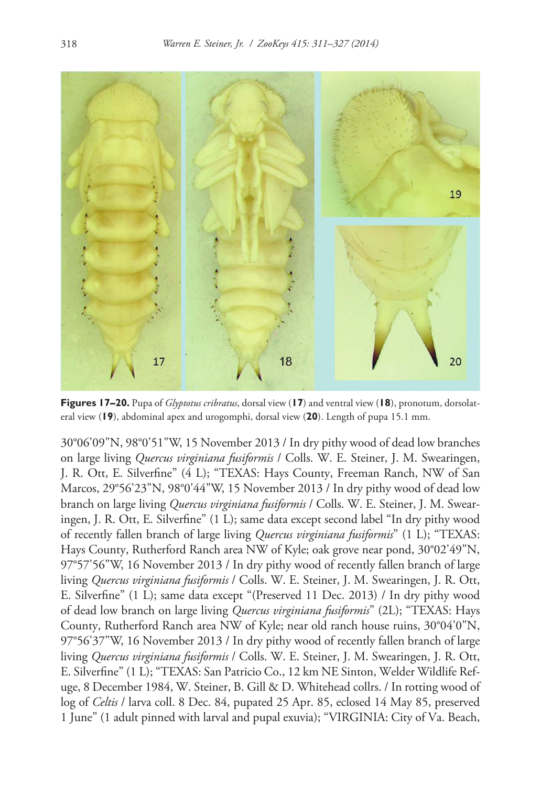

**Figures 17–20.** Pupa of *Glyptotus cribratus*, dorsal view (**17**) and ventral view (**18**), pronotum, dorsolateral view (**19**), abdominal apex and urogomphi, dorsal view (**20**). Length of pupa 15.1 mm.

30°06'09"N, 98°0'51"W, 15 November 2013 / In dry pithy wood of dead low branches on large living *Quercus virginiana fusiformis* / Colls. W. E. Steiner, J. M. Swearingen, J. R. Ott, E. Silverfine" (4 L); "TEXAS: Hays County, Freeman Ranch, NW of San Marcos, 29°56'23"N, 98°0'44"W, 15 November 2013 / In dry pithy wood of dead low branch on large living *Quercus virginiana fusiformis* / Colls. W. E. Steiner, J. M. Swearingen, J. R. Ott, E. Silverfine" (1 L); same data except second label "In dry pithy wood of recently fallen branch of large living *Quercus virginiana fusiformis*" (1 L); "TEXAS: Hays County, Rutherford Ranch area NW of Kyle; oak grove near pond, 30°02'49"N, 97°57'56"W, 16 November 2013 / In dry pithy wood of recently fallen branch of large living *Quercus virginiana fusiformis* / Colls. W. E. Steiner, J. M. Swearingen, J. R. Ott, E. Silverfine" (1 L); same data except "(Preserved 11 Dec. 2013) / In dry pithy wood of dead low branch on large living *Quercus virginiana fusiformis*" (2L); "TEXAS: Hays County, Rutherford Ranch area NW of Kyle; near old ranch house ruins, 30°04'0"N, 97°56'37"W, 16 November 2013 / In dry pithy wood of recently fallen branch of large living *Quercus virginiana fusiformis* / Colls. W. E. Steiner, J. M. Swearingen, J. R. Ott, E. Silverfine" (1 L); "TEXAS: San Patricio Co., 12 km NE Sinton, Welder Wildlife Refuge, 8 December 1984, W. Steiner, B. Gill & D. Whitehead collrs. / In rotting wood of log of *Celtis* / larva coll. 8 Dec. 84, pupated 25 Apr. 85, eclosed 14 May 85, preserved 1 June" (1 adult pinned with larval and pupal exuvia); "VIRGINIA: City of Va. Beach,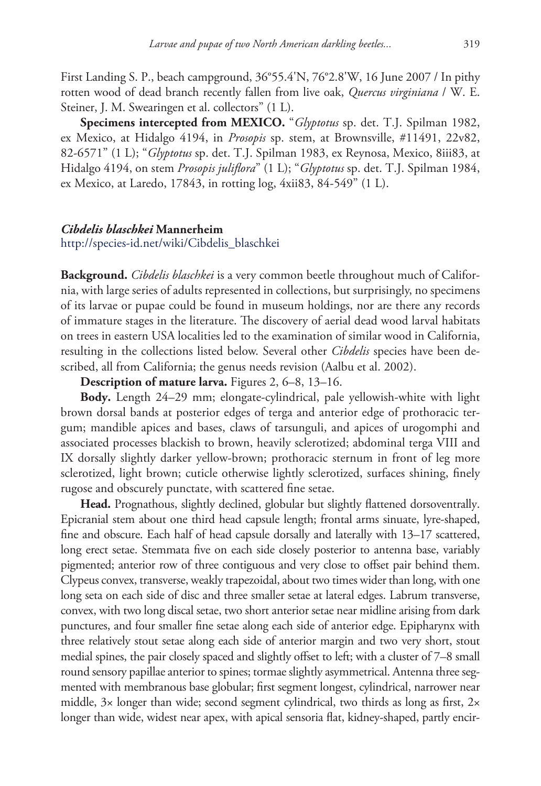First Landing S. P., beach campground, 36°55.4'N, 76°2.8'W, 16 June 2007 / In pithy rotten wood of dead branch recently fallen from live oak, *Quercus virginiana* / W. E. Steiner, J. M. Swearingen et al. collectors" (1 L).

**Specimens intercepted from MEXICO.** "*Glyptotus* sp. det. T.J. Spilman 1982, ex Mexico, at Hidalgo 4194, in *Prosopis* sp. stem, at Brownsville, #11491, 22v82, 82-6571" (1 L); "*Glyptotus* sp. det. T.J. Spilman 1983, ex Reynosa, Mexico, 8iii83, at Hidalgo 4194, on stem *Prosopis juliflora*" (1 L); "*Glyptotus* sp. det. T.J. Spilman 1984, ex Mexico, at Laredo, 17843, in rotting log, 4xii83, 84-549" (1 L).

# *Cibdelis blaschkei* **Mannerheim**

[http://species-id.net/wiki/Cibdelis\\_blaschkei](http://species-id.net/wiki/Cibdelis_blaschkei)

**Background.** *Cibdelis blaschkei* is a very common beetle throughout much of California, with large series of adults represented in collections, but surprisingly, no specimens of its larvae or pupae could be found in museum holdings, nor are there any records of immature stages in the literature. The discovery of aerial dead wood larval habitats on trees in eastern USA localities led to the examination of similar wood in California, resulting in the collections listed below. Several other *Cibdelis* species have been described, all from California; the genus needs revision (Aalbu et al. 2002).

**Description of mature larva.** Figures 2, 6–8, 13–16.

**Body.** Length 24–29 mm; elongate-cylindrical, pale yellowish-white with light brown dorsal bands at posterior edges of terga and anterior edge of prothoracic tergum; mandible apices and bases, claws of tarsunguli, and apices of urogomphi and associated processes blackish to brown, heavily sclerotized; abdominal terga VIII and IX dorsally slightly darker yellow-brown; prothoracic sternum in front of leg more sclerotized, light brown; cuticle otherwise lightly sclerotized, surfaces shining, finely rugose and obscurely punctate, with scattered fine setae.

**Head.** Prognathous, slightly declined, globular but slightly flattened dorsoventrally. Epicranial stem about one third head capsule length; frontal arms sinuate, lyre-shaped, fine and obscure. Each half of head capsule dorsally and laterally with 13–17 scattered, long erect setae. Stemmata five on each side closely posterior to antenna base, variably pigmented; anterior row of three contiguous and very close to offset pair behind them. Clypeus convex, transverse, weakly trapezoidal, about two times wider than long, with one long seta on each side of disc and three smaller setae at lateral edges. Labrum transverse, convex, with two long discal setae, two short anterior setae near midline arising from dark punctures, and four smaller fine setae along each side of anterior edge. Epipharynx with three relatively stout setae along each side of anterior margin and two very short, stout medial spines, the pair closely spaced and slightly offset to left; with a cluster of 7–8 small round sensory papillae anterior to spines; tormae slightly asymmetrical. Antenna three segmented with membranous base globular; first segment longest, cylindrical, narrower near middle, 3× longer than wide; second segment cylindrical, two thirds as long as first, 2× longer than wide, widest near apex, with apical sensoria flat, kidney-shaped, partly encir-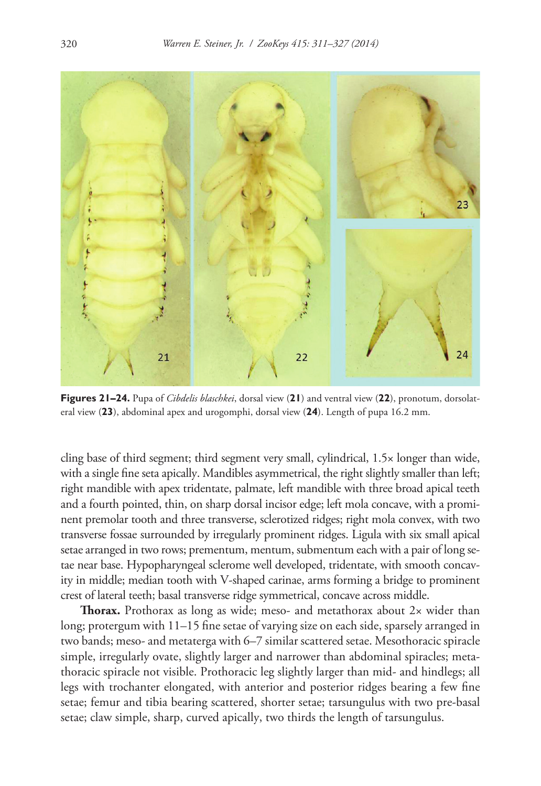

**Figures 21–24.** Pupa of *Cibdelis blaschkei*, dorsal view (**21**) and ventral view (**22**), pronotum, dorsolateral view (**23**), abdominal apex and urogomphi, dorsal view (**24**). Length of pupa 16.2 mm.

cling base of third segment; third segment very small, cylindrical, 1.5× longer than wide, with a single fine seta apically. Mandibles asymmetrical, the right slightly smaller than left; right mandible with apex tridentate, palmate, left mandible with three broad apical teeth and a fourth pointed, thin, on sharp dorsal incisor edge; left mola concave, with a prominent premolar tooth and three transverse, sclerotized ridges; right mola convex, with two transverse fossae surrounded by irregularly prominent ridges. Ligula with six small apical setae arranged in two rows; prementum, mentum, submentum each with a pair of long setae near base. Hypopharyngeal sclerome well developed, tridentate, with smooth concavity in middle; median tooth with V-shaped carinae, arms forming a bridge to prominent crest of lateral teeth; basal transverse ridge symmetrical, concave across middle.

**Thorax.** Prothorax as long as wide; meso- and metathorax about 2x wider than long; protergum with 11–15 fine setae of varying size on each side, sparsely arranged in two bands; meso- and metaterga with 6–7 similar scattered setae. Mesothoracic spiracle simple, irregularly ovate, slightly larger and narrower than abdominal spiracles; metathoracic spiracle not visible. Prothoracic leg slightly larger than mid- and hindlegs; all legs with trochanter elongated, with anterior and posterior ridges bearing a few fine setae; femur and tibia bearing scattered, shorter setae; tarsungulus with two pre-basal setae; claw simple, sharp, curved apically, two thirds the length of tarsungulus.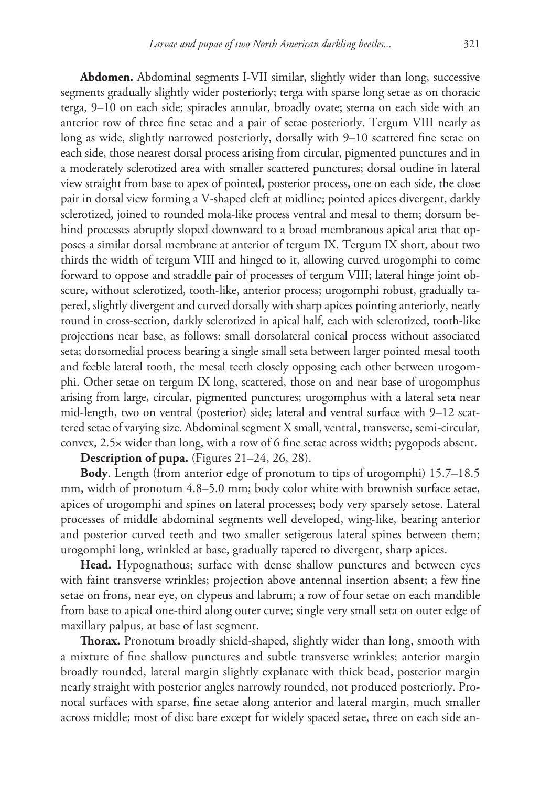**Abdomen.** Abdominal segments I-VII similar, slightly wider than long, successive segments gradually slightly wider posteriorly; terga with sparse long setae as on thoracic terga, 9–10 on each side; spiracles annular, broadly ovate; sterna on each side with an anterior row of three fine setae and a pair of setae posteriorly. Tergum VIII nearly as long as wide, slightly narrowed posteriorly, dorsally with 9–10 scattered fine setae on each side, those nearest dorsal process arising from circular, pigmented punctures and in a moderately sclerotized area with smaller scattered punctures; dorsal outline in lateral view straight from base to apex of pointed, posterior process, one on each side, the close pair in dorsal view forming a V-shaped cleft at midline; pointed apices divergent, darkly sclerotized, joined to rounded mola-like process ventral and mesal to them; dorsum behind processes abruptly sloped downward to a broad membranous apical area that opposes a similar dorsal membrane at anterior of tergum IX. Tergum IX short, about two thirds the width of tergum VIII and hinged to it, allowing curved urogomphi to come forward to oppose and straddle pair of processes of tergum VIII; lateral hinge joint obscure, without sclerotized, tooth-like, anterior process; urogomphi robust, gradually tapered, slightly divergent and curved dorsally with sharp apices pointing anteriorly, nearly round in cross-section, darkly sclerotized in apical half, each with sclerotized, tooth-like projections near base, as follows: small dorsolateral conical process without associated seta; dorsomedial process bearing a single small seta between larger pointed mesal tooth and feeble lateral tooth, the mesal teeth closely opposing each other between urogomphi. Other setae on tergum IX long, scattered, those on and near base of urogomphus arising from large, circular, pigmented punctures; urogomphus with a lateral seta near mid-length, two on ventral (posterior) side; lateral and ventral surface with 9–12 scattered setae of varying size. Abdominal segment X small, ventral, transverse, semi-circular, convex, 2.5× wider than long, with a row of 6 fine setae across width; pygopods absent.

**Description of pupa.** (Figures 21–24, 26, 28).

**Body**. Length (from anterior edge of pronotum to tips of urogomphi) 15.7–18.5 mm, width of pronotum 4.8–5.0 mm; body color white with brownish surface setae, apices of urogomphi and spines on lateral processes; body very sparsely setose. Lateral processes of middle abdominal segments well developed, wing-like, bearing anterior and posterior curved teeth and two smaller setigerous lateral spines between them; urogomphi long, wrinkled at base, gradually tapered to divergent, sharp apices.

**Head.** Hypognathous; surface with dense shallow punctures and between eyes with faint transverse wrinkles; projection above antennal insertion absent; a few fine setae on frons, near eye, on clypeus and labrum; a row of four setae on each mandible from base to apical one-third along outer curve; single very small seta on outer edge of maxillary palpus, at base of last segment.

**Thorax.** Pronotum broadly shield-shaped, slightly wider than long, smooth with a mixture of fine shallow punctures and subtle transverse wrinkles; anterior margin broadly rounded, lateral margin slightly explanate with thick bead, posterior margin nearly straight with posterior angles narrowly rounded, not produced posteriorly. Pronotal surfaces with sparse, fine setae along anterior and lateral margin, much smaller across middle; most of disc bare except for widely spaced setae, three on each side an-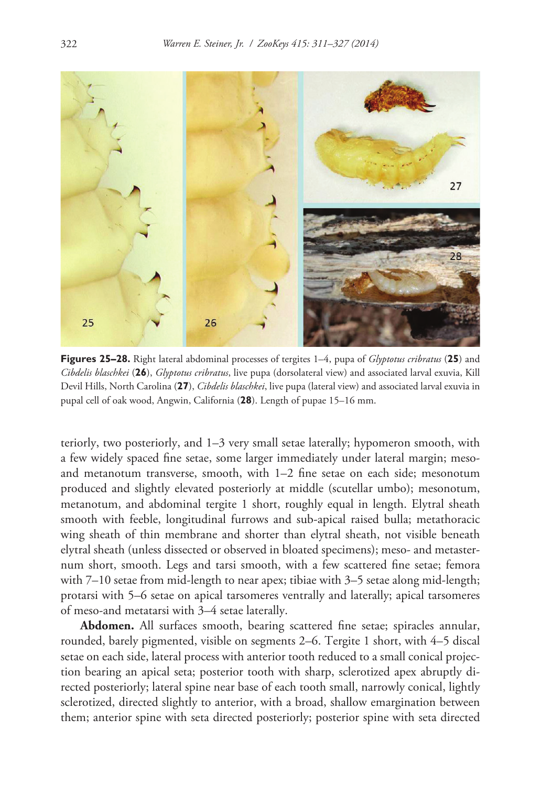

**Figures 25–28.** Right lateral abdominal processes of tergites 1–4, pupa of *Glyptotus cribratus* (**25**) and *Cibdelis blaschkei* (**26**), *Glyptotus cribratus*, live pupa (dorsolateral view) and associated larval exuvia, Kill Devil Hills, North Carolina (**27**), *Cibdelis blaschkei*, live pupa (lateral view) and associated larval exuvia in pupal cell of oak wood, Angwin, California (**28**). Length of pupae 15–16 mm.

teriorly, two posteriorly, and 1–3 very small setae laterally; hypomeron smooth, with a few widely spaced fine setae, some larger immediately under lateral margin; mesoand metanotum transverse, smooth, with 1–2 fine setae on each side; mesonotum produced and slightly elevated posteriorly at middle (scutellar umbo); mesonotum, metanotum, and abdominal tergite 1 short, roughly equal in length. Elytral sheath smooth with feeble, longitudinal furrows and sub-apical raised bulla; metathoracic wing sheath of thin membrane and shorter than elytral sheath, not visible beneath elytral sheath (unless dissected or observed in bloated specimens); meso- and metasternum short, smooth. Legs and tarsi smooth, with a few scattered fine setae; femora with 7–10 setae from mid-length to near apex; tibiae with 3–5 setae along mid-length; protarsi with 5–6 setae on apical tarsomeres ventrally and laterally; apical tarsomeres of meso-and metatarsi with 3–4 setae laterally.

**Abdomen.** All surfaces smooth, bearing scattered fine setae; spiracles annular, rounded, barely pigmented, visible on segments 2–6. Tergite 1 short, with 4–5 discal setae on each side, lateral process with anterior tooth reduced to a small conical projection bearing an apical seta; posterior tooth with sharp, sclerotized apex abruptly directed posteriorly; lateral spine near base of each tooth small, narrowly conical, lightly sclerotized, directed slightly to anterior, with a broad, shallow emargination between them; anterior spine with seta directed posteriorly; posterior spine with seta directed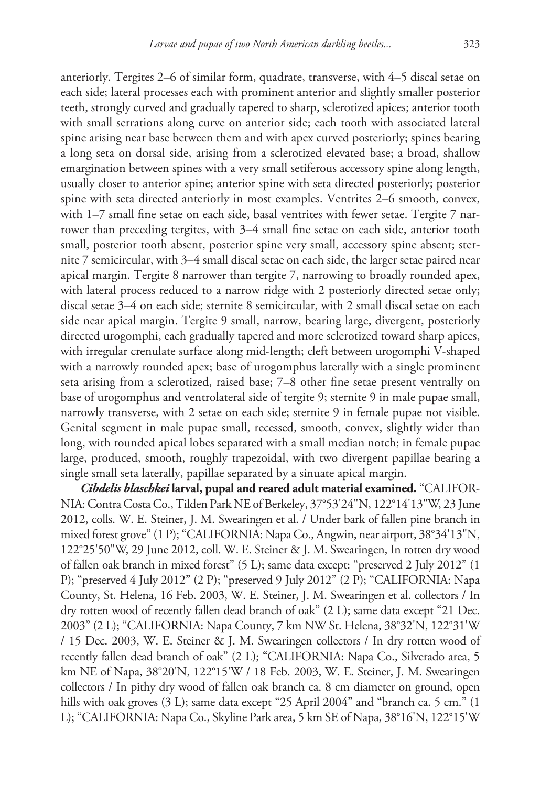anteriorly. Tergites 2–6 of similar form, quadrate, transverse, with 4–5 discal setae on each side; lateral processes each with prominent anterior and slightly smaller posterior teeth, strongly curved and gradually tapered to sharp, sclerotized apices; anterior tooth with small serrations along curve on anterior side; each tooth with associated lateral spine arising near base between them and with apex curved posteriorly; spines bearing a long seta on dorsal side, arising from a sclerotized elevated base; a broad, shallow emargination between spines with a very small setiferous accessory spine along length, usually closer to anterior spine; anterior spine with seta directed posteriorly; posterior spine with seta directed anteriorly in most examples. Ventrites 2–6 smooth, convex, with 1–7 small fine setae on each side, basal ventrites with fewer setae. Tergite 7 narrower than preceding tergites, with 3–4 small fine setae on each side, anterior tooth small, posterior tooth absent, posterior spine very small, accessory spine absent; sternite 7 semicircular, with 3–4 small discal setae on each side, the larger setae paired near apical margin. Tergite 8 narrower than tergite 7, narrowing to broadly rounded apex, with lateral process reduced to a narrow ridge with 2 posteriorly directed setae only; discal setae 3–4 on each side; sternite 8 semicircular, with 2 small discal setae on each side near apical margin. Tergite 9 small, narrow, bearing large, divergent, posteriorly directed urogomphi, each gradually tapered and more sclerotized toward sharp apices, with irregular crenulate surface along mid-length; cleft between urogomphi V-shaped with a narrowly rounded apex; base of urogomphus laterally with a single prominent seta arising from a sclerotized, raised base; 7–8 other fine setae present ventrally on base of urogomphus and ventrolateral side of tergite 9; sternite 9 in male pupae small, narrowly transverse, with 2 setae on each side; sternite 9 in female pupae not visible. Genital segment in male pupae small, recessed, smooth, convex, slightly wider than long, with rounded apical lobes separated with a small median notch; in female pupae large, produced, smooth, roughly trapezoidal, with two divergent papillae bearing a single small seta laterally, papillae separated by a sinuate apical margin.

*Cibdelis blaschkei* **larval, pupal and reared adult material examined.** "CALIFOR-NIA: Contra Costa Co., Tilden Park NE of Berkeley, 37°53'24"N, 122°14'13"W, 23 June 2012, colls. W. E. Steiner, J. M. Swearingen et al. / Under bark of fallen pine branch in mixed forest grove" (1 P); "CALIFORNIA: Napa Co., Angwin, near airport, 38°34'13"N, 122°25'50"W, 29 June 2012, coll. W. E. Steiner & J. M. Swearingen, In rotten dry wood of fallen oak branch in mixed forest" (5 L); same data except: "preserved 2 July 2012" (1 P); "preserved 4 July 2012" (2 P); "preserved 9 July 2012" (2 P); "CALIFORNIA: Napa County, St. Helena, 16 Feb. 2003, W. E. Steiner, J. M. Swearingen et al. collectors / In dry rotten wood of recently fallen dead branch of oak" (2 L); same data except "21 Dec. 2003" (2 L); "CALIFORNIA: Napa County, 7 km NW St. Helena, 38°32'N, 122°31'W / 15 Dec. 2003, W. E. Steiner & J. M. Swearingen collectors / In dry rotten wood of recently fallen dead branch of oak" (2 L); "CALIFORNIA: Napa Co., Silverado area, 5 km NE of Napa, 38°20'N, 122°15'W / 18 Feb. 2003, W. E. Steiner, J. M. Swearingen collectors / In pithy dry wood of fallen oak branch ca. 8 cm diameter on ground, open hills with oak groves (3 L); same data except "25 April 2004" and "branch ca. 5 cm." (1 L); "CALIFORNIA: Napa Co., Skyline Park area, 5 km SE of Napa, 38°16'N, 122°15'W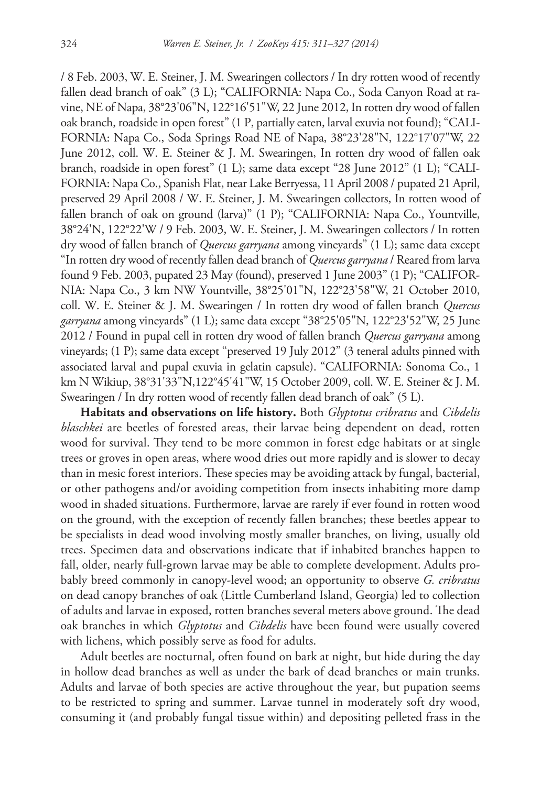/ 8 Feb. 2003, W. E. Steiner, J. M. Swearingen collectors / In dry rotten wood of recently fallen dead branch of oak" (3 L); "CALIFORNIA: Napa Co., Soda Canyon Road at ravine, NE of Napa, 38°23'06"N, 122°16'51"W, 22 June 2012, In rotten dry wood of fallen oak branch, roadside in open forest" (1 P, partially eaten, larval exuvia not found); "CALI-FORNIA: Napa Co., Soda Springs Road NE of Napa, 38°23'28"N, 122°17'07"W, 22 June 2012, coll. W. E. Steiner & J. M. Swearingen, In rotten dry wood of fallen oak branch, roadside in open forest" (1 L); same data except "28 June 2012" (1 L); "CALI-FORNIA: Napa Co., Spanish Flat, near Lake Berryessa, 11 April 2008 / pupated 21 April, preserved 29 April 2008 / W. E. Steiner, J. M. Swearingen collectors, In rotten wood of fallen branch of oak on ground (larva)" (1 P); "CALIFORNIA: Napa Co., Yountville, 38°24'N, 122°22'W / 9 Feb. 2003, W. E. Steiner, J. M. Swearingen collectors / In rotten dry wood of fallen branch of *Quercus garryana* among vineyards" (1 L); same data except "In rotten dry wood of recently fallen dead branch of *Quercus garryana* / Reared from larva found 9 Feb. 2003, pupated 23 May (found), preserved 1 June 2003" (1 P); "CALIFOR-NIA: Napa Co., 3 km NW Yountville, 38°25'01"N, 122°23'58"W, 21 October 2010, coll. W. E. Steiner & J. M. Swearingen / In rotten dry wood of fallen branch *Quercus garryana* among vineyards" (1 L); same data except "38°25'05"N, 122°23'52"W, 25 June 2012 / Found in pupal cell in rotten dry wood of fallen branch *Quercus garryana* among vineyards; (1 P); same data except "preserved 19 July 2012" (3 teneral adults pinned with associated larval and pupal exuvia in gelatin capsule). "CALIFORNIA: Sonoma Co., 1 km N Wikiup, 38°31'33"N,122°45'41"W, 15 October 2009, coll. W. E. Steiner & J. M. Swearingen / In dry rotten wood of recently fallen dead branch of oak" (5 L).

**Habitats and observations on life history.** Both *Glyptotus cribratus* and *Cibdelis blaschkei* are beetles of forested areas, their larvae being dependent on dead, rotten wood for survival. They tend to be more common in forest edge habitats or at single trees or groves in open areas, where wood dries out more rapidly and is slower to decay than in mesic forest interiors. These species may be avoiding attack by fungal, bacterial, or other pathogens and/or avoiding competition from insects inhabiting more damp wood in shaded situations. Furthermore, larvae are rarely if ever found in rotten wood on the ground, with the exception of recently fallen branches; these beetles appear to be specialists in dead wood involving mostly smaller branches, on living, usually old trees. Specimen data and observations indicate that if inhabited branches happen to fall, older, nearly full-grown larvae may be able to complete development. Adults probably breed commonly in canopy-level wood; an opportunity to observe *G. cribratus* on dead canopy branches of oak (Little Cumberland Island, Georgia) led to collection of adults and larvae in exposed, rotten branches several meters above ground. The dead oak branches in which *Glyptotus* and *Cibdelis* have been found were usually covered with lichens, which possibly serve as food for adults.

Adult beetles are nocturnal, often found on bark at night, but hide during the day in hollow dead branches as well as under the bark of dead branches or main trunks. Adults and larvae of both species are active throughout the year, but pupation seems to be restricted to spring and summer. Larvae tunnel in moderately soft dry wood, consuming it (and probably fungal tissue within) and depositing pelleted frass in the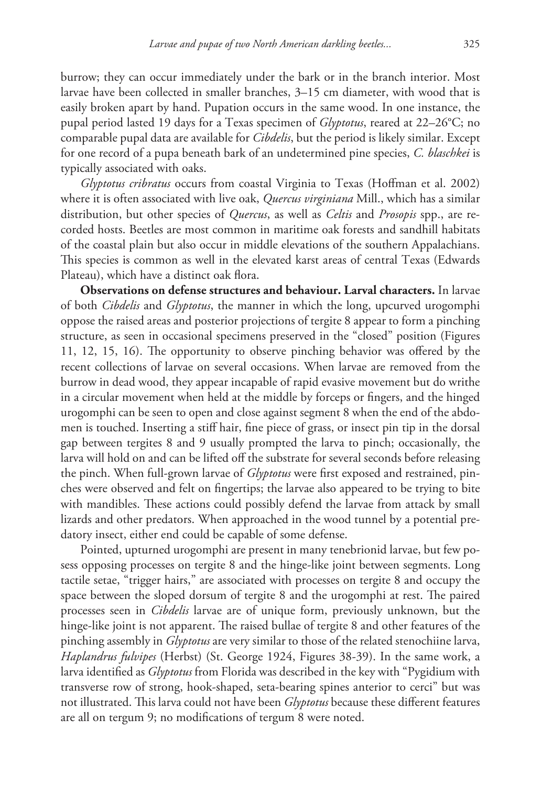burrow; they can occur immediately under the bark or in the branch interior. Most larvae have been collected in smaller branches, 3–15 cm diameter, with wood that is easily broken apart by hand. Pupation occurs in the same wood. In one instance, the pupal period lasted 19 days for a Texas specimen of *Glyptotus*, reared at 22–26°C; no comparable pupal data are available for *Cibdelis*, but the period is likely similar. Except for one record of a pupa beneath bark of an undetermined pine species, *C. blaschkei* is typically associated with oaks.

*Glyptotus cribratus* occurs from coastal Virginia to Texas (Hoffman et al. 2002) where it is often associated with live oak, *Quercus virginiana* Mill., which has a similar distribution, but other species of *Quercus*, as well as *Celtis* and *Prosopis* spp., are recorded hosts. Beetles are most common in maritime oak forests and sandhill habitats of the coastal plain but also occur in middle elevations of the southern Appalachians. This species is common as well in the elevated karst areas of central Texas (Edwards Plateau), which have a distinct oak flora.

**Observations on defense structures and behaviour. Larval characters.** In larvae of both *Cibdelis* and *Glyptotus*, the manner in which the long, upcurved urogomphi oppose the raised areas and posterior projections of tergite 8 appear to form a pinching structure, as seen in occasional specimens preserved in the "closed" position (Figures 11, 12, 15, 16). The opportunity to observe pinching behavior was offered by the recent collections of larvae on several occasions. When larvae are removed from the burrow in dead wood, they appear incapable of rapid evasive movement but do writhe in a circular movement when held at the middle by forceps or fingers, and the hinged urogomphi can be seen to open and close against segment 8 when the end of the abdomen is touched. Inserting a stiff hair, fine piece of grass, or insect pin tip in the dorsal gap between tergites 8 and 9 usually prompted the larva to pinch; occasionally, the larva will hold on and can be lifted off the substrate for several seconds before releasing the pinch. When full-grown larvae of *Glyptotus* were first exposed and restrained, pinches were observed and felt on fingertips; the larvae also appeared to be trying to bite with mandibles. These actions could possibly defend the larvae from attack by small lizards and other predators. When approached in the wood tunnel by a potential predatory insect, either end could be capable of some defense.

Pointed, upturned urogomphi are present in many tenebrionid larvae, but few posess opposing processes on tergite 8 and the hinge-like joint between segments. Long tactile setae, "trigger hairs," are associated with processes on tergite 8 and occupy the space between the sloped dorsum of tergite 8 and the urogomphi at rest. The paired processes seen in *Cibdelis* larvae are of unique form, previously unknown, but the hinge-like joint is not apparent. The raised bullae of tergite 8 and other features of the pinching assembly in *Glyptotus* are very similar to those of the related stenochiine larva, *Haplandrus fulvipes* (Herbst) (St. George 1924, Figures 38-39). In the same work, a larva identified as *Glyptotus* from Florida was described in the key with "Pygidium with transverse row of strong, hook-shaped, seta-bearing spines anterior to cerci" but was not illustrated. This larva could not have been *Glyptotus* because these different features are all on tergum 9; no modifications of tergum 8 were noted.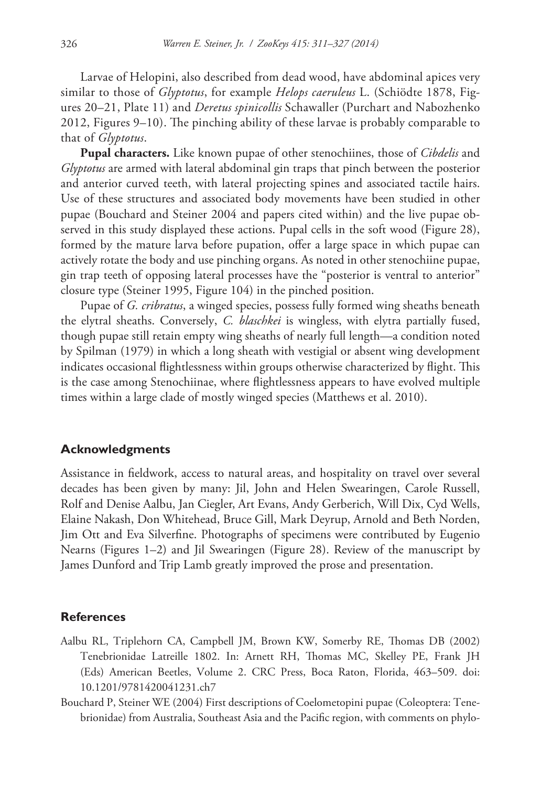Larvae of Helopini, also described from dead wood, have abdominal apices very similar to those of *Glyptotus*, for example *Helops caeruleus* L. (Schiödte 1878, Figures 20–21, Plate 11) and *Deretus spinicollis* Schawaller (Purchart and Nabozhenko 2012, Figures 9–10). The pinching ability of these larvae is probably comparable to that of *Glyptotus*.

**Pupal characters.** Like known pupae of other stenochiines, those of *Cibdelis* and *Glyptotus* are armed with lateral abdominal gin traps that pinch between the posterior and anterior curved teeth, with lateral projecting spines and associated tactile hairs. Use of these structures and associated body movements have been studied in other pupae (Bouchard and Steiner 2004 and papers cited within) and the live pupae observed in this study displayed these actions. Pupal cells in the soft wood (Figure 28), formed by the mature larva before pupation, offer a large space in which pupae can actively rotate the body and use pinching organs. As noted in other stenochiine pupae, gin trap teeth of opposing lateral processes have the "posterior is ventral to anterior" closure type (Steiner 1995, Figure 104) in the pinched position.

Pupae of *G. cribratus*, a winged species, possess fully formed wing sheaths beneath the elytral sheaths. Conversely, *C. blaschkei* is wingless, with elytra partially fused, though pupae still retain empty wing sheaths of nearly full length—a condition noted by Spilman (1979) in which a long sheath with vestigial or absent wing development indicates occasional flightlessness within groups otherwise characterized by flight. This is the case among Stenochiinae, where flightlessness appears to have evolved multiple times within a large clade of mostly winged species (Matthews et al. 2010).

#### **Acknowledgments**

Assistance in fieldwork, access to natural areas, and hospitality on travel over several decades has been given by many: Jil, John and Helen Swearingen, Carole Russell, Rolf and Denise Aalbu, Jan Ciegler, Art Evans, Andy Gerberich, Will Dix, Cyd Wells, Elaine Nakash, Don Whitehead, Bruce Gill, Mark Deyrup, Arnold and Beth Norden, Jim Ott and Eva Silverfine. Photographs of specimens were contributed by Eugenio Nearns (Figures 1–2) and Jil Swearingen (Figure 28). Review of the manuscript by James Dunford and Trip Lamb greatly improved the prose and presentation.

#### **References**

- Aalbu RL, Triplehorn CA, Campbell JM, Brown KW, Somerby RE, Thomas DB (2002) Tenebrionidae Latreille 1802. In: Arnett RH, Thomas MC, Skelley PE, Frank JH (Eds) American Beetles, Volume 2. CRC Press, Boca Raton, Florida, 463–509. [doi:](http://dx.doi.org/10.1201/9781420041231.ch7) [10.1201/9781420041231.ch7](http://dx.doi.org/10.1201/9781420041231.ch7)
- Bouchard P, Steiner WE (2004) First descriptions of Coelometopini pupae (Coleoptera: Tenebrionidae) from Australia, Southeast Asia and the Pacific region, with comments on phylo-